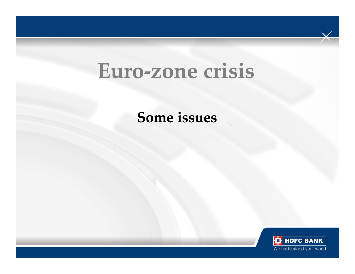# **Euro-zone crisiszone**

**Some issues**

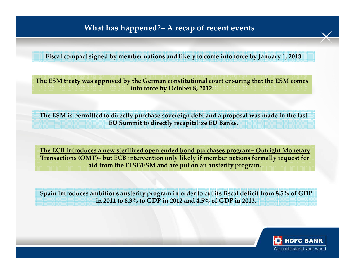### **What has happened?– A recap of recent events**

**Fiscal compact signed by member nations and likely to come into force by January 1, 2013**

**The ESM treaty was approved by the German constitutional court ensuring that the ESM comes into force by October 8, 2012.** 

**The ESM is permitted to directly purchase sovereign debt and a proposal was made in the last EU Summit to directly recapitalize EU Banks.** 

**The ECB introduces a new sterilized open ended bond purchases program– Outright Monetary Transactions (OMT)– but ECB intervention only likely if member nations formally request for aid from the EFSF/ESM and are put on an austerity program.** 

**Spain introduces ambitious austerity program in order to cut its fiscal deficit from 8.5% of GDP in 2011 to 6.3% to GDP in 2012 and 4.5% of GDP in 2013.** 

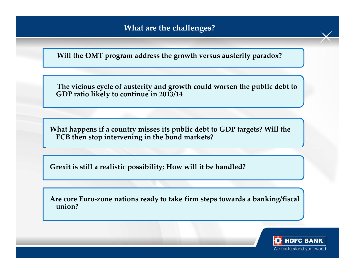**Will the OMT program address the growth versus austerity paradox?** 

**The vicious cycle of austerity and growth could worsen the public debt to GDP ratio likely to continue in 2013/14**

**What happens if a country misses its public debt to GDP targets? Will the ECB then stop intervening in the bond markets?** 

**Grexit is still a realistic possibility; How will it be handled?** 

**Are core Euro-zone nations ready to take firm steps towards a banking/fiscal union?** 

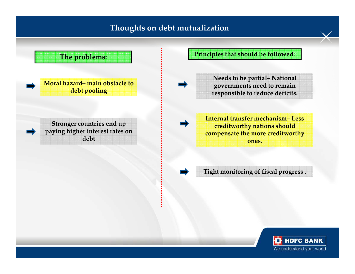### **Thoughts on debt mutualization**



We understand your world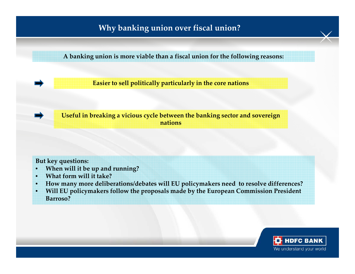# **Why banking union over fiscal union?**

**A banking union is more viable than a fiscal union for the following reasons:** 

**Easier to sell politically particularly in the core nations**

**Useful in breaking a vicious cycle between the banking sector and sovereign nations** 

#### **But key questions:**

- •**When will it be up and running?**
- •**What form will it take?**
- •**How many more deliberations/debates will EU policymakers need to resolve differences?**
- • **Will EU policymakers follow the proposals made by the European Commission President Barroso?**

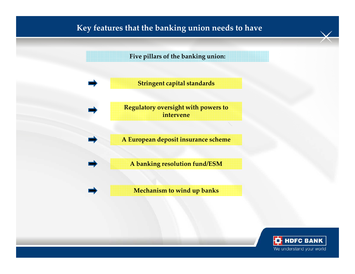## **Key features that the banking union needs to have**

**Five pillars of the banking union:** 

**Stringent capital standards**

**Regulatory oversight with powers to intervene**

**A European deposit insurance scheme**

**A banking resolution fund/ESM**

**Mechanism to wind up banks**